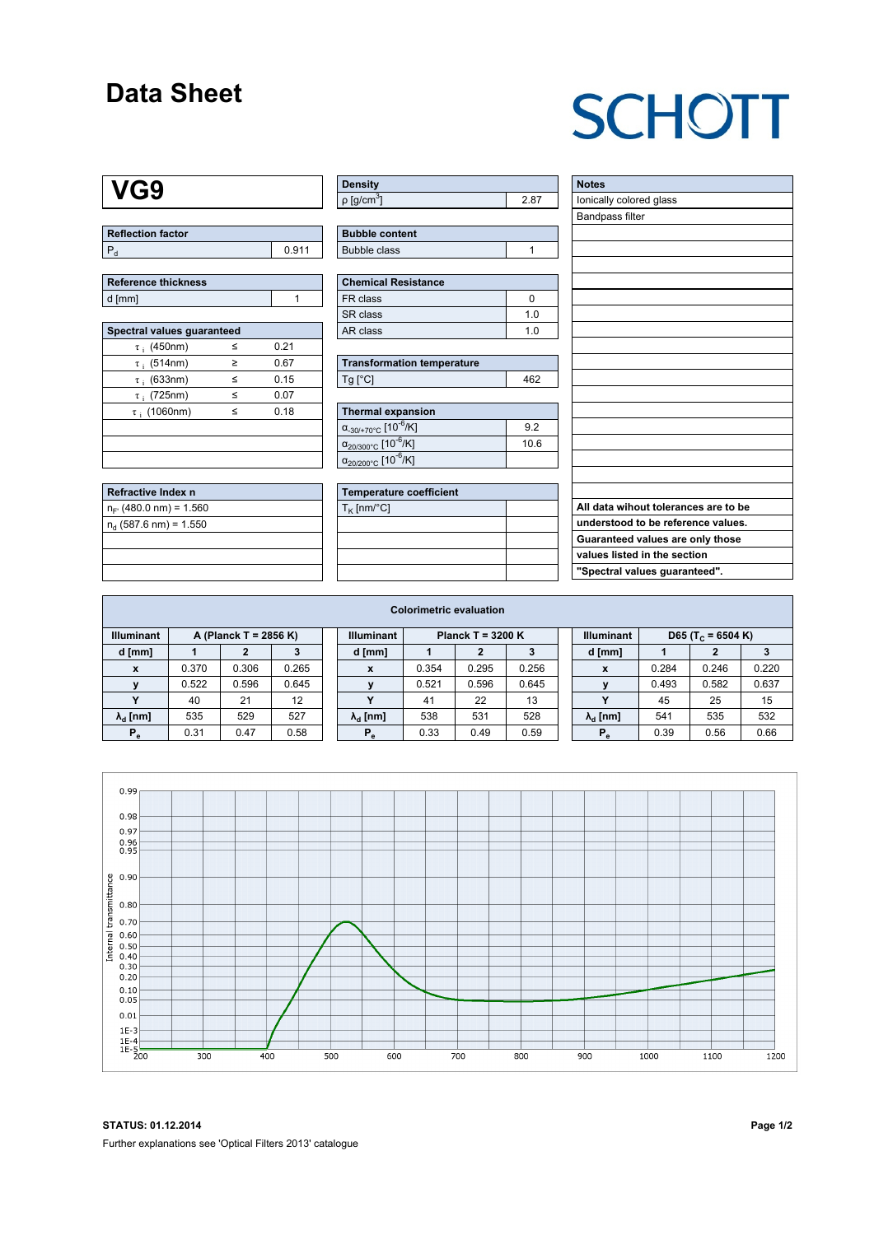### **Data Sheet**

# **SCHOTT**

### **VG9**

| <b>Reflection factor</b> |       |
|--------------------------|-------|
|                          | 0.911 |

| Reference thickness |  |
|---------------------|--|
| d [mm]              |  |

l<br>L

| Spectral values guaranteed |   |      |  |  |  |  |  |  |  |
|----------------------------|---|------|--|--|--|--|--|--|--|
| $\tau$ ; (450nm)           | ≤ | 0.21 |  |  |  |  |  |  |  |
| $\tau$ ; (514nm)           | ≥ | 0.67 |  |  |  |  |  |  |  |
| $\tau$ : (633nm)           | < | 0.15 |  |  |  |  |  |  |  |
| $\tau_i$ (725nm)           | ≤ | 0.07 |  |  |  |  |  |  |  |
| $\tau$ ; (1060nm)          | < | 0.18 |  |  |  |  |  |  |  |
|                            |   |      |  |  |  |  |  |  |  |
|                            |   |      |  |  |  |  |  |  |  |
|                            |   |      |  |  |  |  |  |  |  |

| Refractive Index n         |  |
|----------------------------|--|
| $n_{F}$ (480.0 nm) = 1.560 |  |
| $n_d$ (587.6 nm) = 1.550   |  |
|                            |  |
|                            |  |
|                            |  |

| <b>Density</b>           |  |
|--------------------------|--|
| $p$ [g/cm <sup>3</sup> ] |  |

| <b>Bubble content</b> |  |
|-----------------------|--|
| Bubble class          |  |

| <b>Chemical Resistance</b> |     |  |  |  |  |  |
|----------------------------|-----|--|--|--|--|--|
| FR class                   |     |  |  |  |  |  |
| l SR class                 | 1 N |  |  |  |  |  |
| l AR class                 | 1 በ |  |  |  |  |  |

| <b>Transformation temperature</b> |     |  |  |  |  |
|-----------------------------------|-----|--|--|--|--|
| $Ta$ $C1$                         | 462 |  |  |  |  |

| Thermal expansion                                 |      |
|---------------------------------------------------|------|
| $\alpha_{-30/+70\degree}$ c [10 <sup>-6</sup> /K] | 9.2  |
| $\alpha_{20/300^{\circ}C}$ [10 <sup>-6</sup> /K]  | 10.6 |
| $\alpha_{20/200^{\circ}C}$ [10 $\overline{6}$ /K] |      |

| <b>Temperature coefficient</b> |  |  |  |  |  |  |  |
|--------------------------------|--|--|--|--|--|--|--|
| $T_K$ [nm/°C]                  |  |  |  |  |  |  |  |
|                                |  |  |  |  |  |  |  |
|                                |  |  |  |  |  |  |  |
|                                |  |  |  |  |  |  |  |
|                                |  |  |  |  |  |  |  |

| <b>Notes</b>                         |
|--------------------------------------|
| lonically colored glass              |
| Bandpass filter                      |
|                                      |
|                                      |
|                                      |
|                                      |
|                                      |
|                                      |
|                                      |
|                                      |
|                                      |
|                                      |
|                                      |
|                                      |
|                                      |
|                                      |
|                                      |
|                                      |
|                                      |
| All data wihout tolerances are to be |
| understood to be reference values.   |
| Guaranteed values are only those     |
| values listed in the section         |
| "Spectral values guaranteed".        |

| <b>Colorimetric evaluation</b>             |       |       |       |                                          |                        |       |       |       |                   |                               |       |       |       |
|--------------------------------------------|-------|-------|-------|------------------------------------------|------------------------|-------|-------|-------|-------------------|-------------------------------|-------|-------|-------|
| <b>Illuminant</b><br>A (Planck T = 2856 K) |       |       |       | <b>Illuminant</b><br>Planck T = $3200 K$ |                        |       |       |       | <b>Illuminant</b> | D65 (T <sub>c</sub> = 6504 K) |       |       |       |
| d [mm]                                     |       |       |       |                                          | d [mm]                 |       |       |       |                   | d [mm]                        |       | 2     |       |
| X                                          | 0.370 | 0.306 | 0.265 |                                          | X                      | 0.354 | 0.295 | 0.256 |                   | X                             | 0.284 | 0.246 | 0.220 |
|                                            | 0.522 | 0.596 | 0.645 |                                          |                        | 0.521 | 0.596 | 0.645 |                   |                               | 0.493 | 0.582 | 0.637 |
|                                            | 40    | 21    | 12    |                                          | v                      | 41    | 22    | 13    |                   | $\checkmark$                  | 45    | 25    | 15    |
| $\lambda_{\rm d}$ [nm]                     | 535   | 529   | 527   |                                          | $\lambda_{\rm d}$ [nm] | 538   | 531   | 528   |                   | $\lambda_{\rm d}$ [nm]        | 541   | 535   | 532   |
| $P_e$                                      | 0.31  | 0.47  | 0.58  |                                          | $P_{\alpha}$           | 0.33  | 0.49  | 0.59  |                   | $P_e$                         | 0.39  | 0.56  | 0.66  |
|                                            |       |       |       |                                          |                        |       |       |       |                   |                               |       |       |       |



**STATUS: 01.12.2014 Page 1/2** Further explanations see 'Optical Filters 2013' catalogue